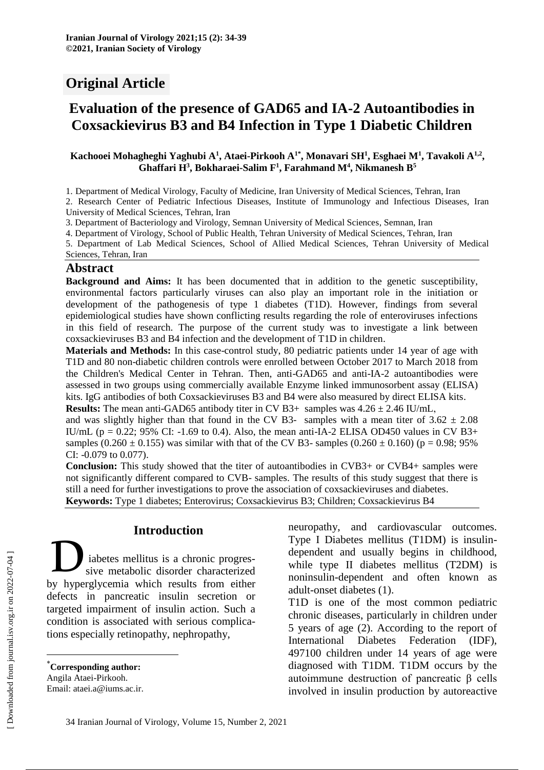# **Original Article**

# **Evaluation of the presence of GAD65 and IA-2 Autoantibodies in Coxsackievirus B3 and B4 Infection in Type 1 Diabetic Children**

#### **Kachooei Mohagheghi Yaghubi A<sup>1</sup> , Ataei-Pirkooh A1\*, Monavari SH<sup>1</sup> , Esghaei M<sup>1</sup> , Tavakoli A1,2 , Ghaffari H<sup>3</sup> , Bokharaei-Salim F 1 , Farahmand M<sup>4</sup> , Nikmanesh B 5**

1. Department of Medical Virology, Faculty of Medicine, Iran University of Medical Sciences, Tehran, Iran

2. Research Center of Pediatric Infectious Diseases, Institute of Immunology and Infectious Diseases, Iran University of Medical Sciences, Tehran, Iran

3. Department of Bacteriology and Virology, Semnan University of Medical Sciences, Semnan, Iran

4. Department of Virology, School of Public Health, Tehran University of Medical Sciences, Tehran, Iran

5. Department of Lab Medical Sciences, School of Allied Medical Sciences, Tehran University of Medical Sciences, Tehran, Iran

## **Abstract**

**Background and Aims:** It has been documented that in addition to the genetic susceptibility, environmental factors particularly viruses can also play an important role in the initiation or development of the pathogenesis of type 1 diabetes (T1D). However, findings from several epidemiological studies have shown conflicting results regarding the role of enteroviruses infections in this field of research. The purpose of the current study was to investigate a link between coxsackieviruses B3 and B4 infection and the development of T1D in children.

**Materials and Methods:** In this case-control study, 80 pediatric patients under 14 year of age with T1D and 80 non-diabetic children controls were enrolled between October 2017 to March 2018 from the Children's Medical Center in Tehran. Then, anti-GAD65 and anti-IA-2 autoantibodies were assessed in two groups using commercially available Enzyme linked immunosorbent assay (ELISA) kits. IgG antibodies of both Coxsackieviruses B3 and B4 were also measured by direct ELISA kits. **Results:** The mean anti-GAD65 antibody titer in CV B3+ samples was  $4.26 \pm 2.46$  IU/mL,

and was slightly higher than that found in the CV B3- samples with a mean titer of  $3.62 \pm 2.08$ IU/mL ( $p = 0.22$ ; 95% CI: -1.69 to 0.4). Also, the mean anti-IA-2 ELISA OD450 values in CV B3+ samples  $(0.260 \pm 0.155)$  was similar with that of the CV B3- samples  $(0.260 \pm 0.160)$  (p = 0.98; 95%) CI: -0.079 to 0.077).

**Conclusion:** This study showed that the titer of autoantibodies in CVB3+ or CVB4+ samples were not significantly different compared to CVB- samples. The results of this study suggest that there is still a need for further investigations to prove the association of coxsackieviruses and diabetes. **Keywords:** Type 1 diabetes; Enterovirus; Coxsackievirus B3; Children; Coxsackievirus B4

**Introduction\***

iabetes mellitus is a chronic progressive metabolic disorder characterized Introduction<br>
iabetes mellitus is a chronic progres-<br>
sive metabolic disorder characterized<br>
by hyperglycemia which results from either defects in pancreatic insulin secretion or targeted impairment of insulin action. Such a condition is associated with serious complications especially retinopathy, nephropathy,

Email: ataei.a@iums.ac.ir.

neuropathy, and cardiovascular outcomes. Type I Diabetes mellitus (T1DM) is insulindependent and usually begins in childhood, while type II diabetes mellitus (T2DM) is noninsulin-dependent and often known as adult-onset diabetes (1).

T1D is one of the most common pediatric chronic diseases, particularly in children under 5 years of age (2). According to the report of International Diabetes Federation (IDF), 497100 children under 14 years of age were diagnosed with T1DM. T1DM occurs by the autoimmune destruction of pancreatic β cells involved in insulin production by autoreactive

 $\overline{a}$ 

<sup>\*</sup>**Corresponding author:** Angila Ataei-Pirkooh.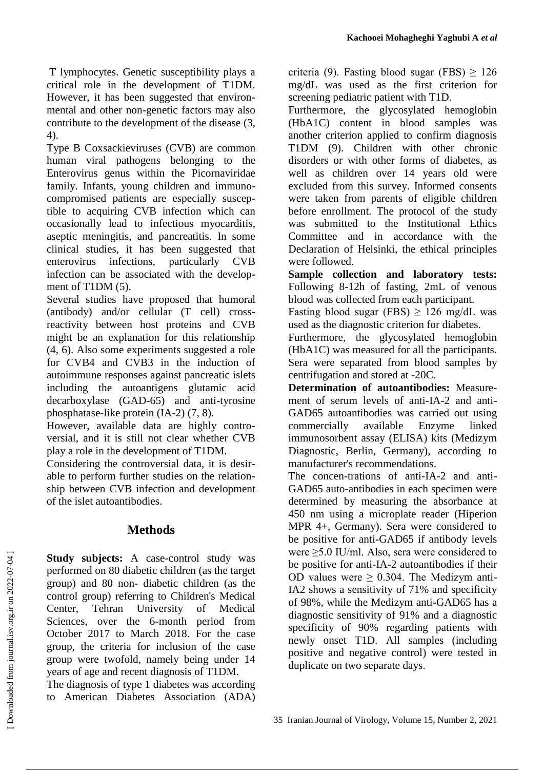T lymphocytes. Genetic susceptibility plays a critical role in the development of T1DM. However, it has been suggested that environmental and other non-genetic factors may also contribute to the development of the disease (3, 4).

Type B Coxsackieviruses (CVB) are common human viral pathogens belonging to the Enterovirus genus within the Picornaviridae family. Infants, young children and immunocompromised patients are especially susceptible to acquiring CVB infection which can occasionally lead to infectious myocarditis, aseptic meningitis, and pancreatitis. In some clinical studies, it has been suggested that enterovirus infections, particularly CVB infection can be associated with the development of T1DM (5).

Several studies have proposed that humoral (antibody) and/or cellular (T cell) crossreactivity between host proteins and CVB might be an explanation for this relationship (4, 6). Also some experiments suggested a role for CVB4 and CVB3 in the induction of autoimmune responses against pancreatic islets including the autoantigens glutamic acid decarboxylase (GAD-65) and anti-tyrosine phosphatase-like protein (IA-2) (7, 8).

However, available data are highly controversial, and it is still not clear whether CVB play a role in the development of T1DM.

Considering the controversial data, it is desirable to perform further studies on the relationship between CVB infection and development of the islet autoantibodies.

## **Methods**

**Study subjects:** A case-control study was performed on 80 diabetic children (as the target group) and 80 non- diabetic children (as the control group) referring to Children's Medical Center, Tehran University of Medical Sciences, over the 6-month period from October 2017 to March 2018. For the case group, the criteria for inclusion of the case group were twofold, namely being under 14 years of age and recent diagnosis of T1DM.

The diagnosis of type 1 diabetes was according to American Diabetes Association (ADA) criteria (9). Fasting blood sugar (FBS)  $\geq 126$ mg/dL was used as the first criterion for screening pediatric patient with T1D.

Furthermore, the glycosylated hemoglobin (HbA1C) content in blood samples was another criterion applied to confirm diagnosis T1DM (9). Children with other chronic disorders or with other forms of diabetes, as well as children over 14 years old were excluded from this survey. Informed consents were taken from parents of eligible children before enrollment. The protocol of the study was submitted to the Institutional Ethics Committee and in accordance with the Declaration of Helsinki, the ethical principles were followed.

**Sample collection and laboratory tests:** Following 8-12h of fasting, 2mL of venous blood was collected from each participant.

Fasting blood sugar (FBS)  $\geq$  126 mg/dL was used as the diagnostic criterion for diabetes.

Furthermore, the glycosylated hemoglobin (HbA1C) was measured for all the participants. Sera were separated from blood samples by centrifugation and stored at -20C.

**Determination of autoantibodies:** Measurement of serum levels of anti-IA-2 and anti-GAD65 autoantibodies was carried out using commercially available Enzyme linked immunosorbent assay (ELISA) kits (Medizym Diagnostic, Berlin, Germany), according to manufacturer's recommendations.

The concen-trations of anti-IA-2 and anti-GAD65 auto-antibodies in each specimen were determined by measuring the absorbance at 450 nm using a microplate reader (Hiperion MPR 4+, Germany). Sera were considered to be positive for anti-GAD65 if antibody levels were ≥5.0 IU/ml. Also, sera were considered to be positive for anti-IA-2 autoantibodies if their OD values were  $> 0.304$ . The Medizym anti-IA2 shows a sensitivity of 71% and specificity of 98%, while the Medizym anti-GAD65 has a diagnostic sensitivity of 91% and a diagnostic specificity of 90% regarding patients with newly onset T1D. All samples (including positive and negative control) were tested in duplicate on two separate days.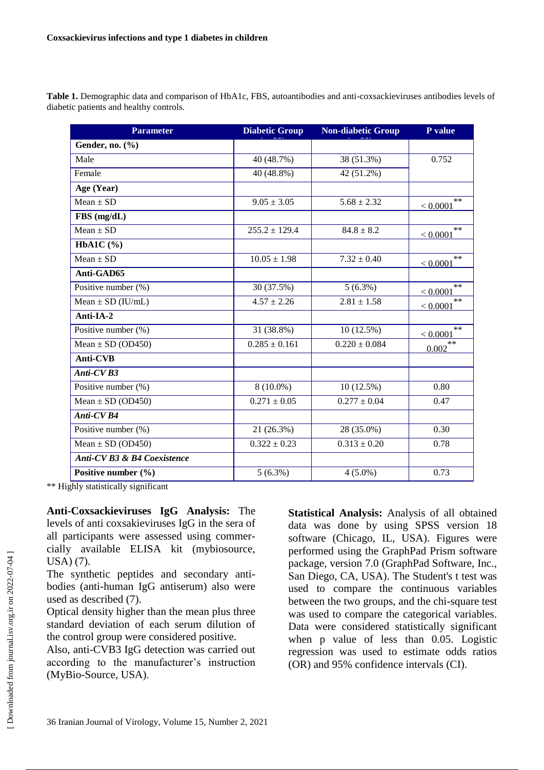**Table 1.** Demographic data and comparison of HbA1c, FBS, autoantibodies and anti-coxsackieviruses antibodies levels of diabetic patients and healthy controls.

| <b>Parameter</b>            | <b>Diabetic Group</b>     | <b>Non-diabetic Group</b> | P value             |  |
|-----------------------------|---------------------------|---------------------------|---------------------|--|
| Gender, no. $(\% )$         |                           |                           |                     |  |
| Male                        | 40 (48.7%)                | 38 (51.3%)                | 0.752               |  |
| Female                      | 40 (48.8%)                | 42 (51.2%)                |                     |  |
| Age (Year)                  |                           |                           |                     |  |
| $Mean \pm SD$               | $9.05 \pm 3.05$           | $5.68 \pm 2.32$           | **<br>< 0.0001      |  |
| $FBS$ (mg/dL)               |                           |                           |                     |  |
| $Mean \pm SD$               | $255.2 \pm 129.4$         | $84.8 \pm 8.2$            | **<br>$\leq 0.0001$ |  |
| HbA1C $(%$                  |                           |                           |                     |  |
| $Mean \pm SD$               | $10.05 \pm 1.98$          | $7.32 \pm 0.40$           | $**$<br>< 0.0001    |  |
| Anti-GAD65                  |                           |                           |                     |  |
| Positive number (%)         | 30 (37.5%)                | $5(6.3\%)$                | **<br>$\leq 0.0001$ |  |
| Mean $\pm$ SD (IU/mL)       | $\frac{1}{4.57} \pm 2.26$ | $2.81 \pm 1.58$           | **<br>< 0.0001      |  |
| Anti-IA-2                   |                           |                           |                     |  |
| Positive number (%)         | 31 (38.8%)                | 10(12.5%)                 | **<br>$\leq 0.0001$ |  |
| Mean $\pm$ SD (OD450)       | $0.285 \pm 0.161$         | $0.220 \pm 0.084$         | $**$<br>0.002       |  |
| <b>Anti-CVB</b>             |                           |                           |                     |  |
| Anti-CVB3                   |                           |                           |                     |  |
| Positive number (%)         | $8(10.0\%)$               | $10(12.5\%)$              | 0.80                |  |
| Mean $\pm$ SD (OD450)       | $0.271 \pm 0.05$          | $0.277 \pm 0.04$          | 0.47                |  |
| Anti-CVB4                   |                           |                           |                     |  |
| Positive number (%)         | 21 (26.3%)                | 28 (35.0%)                | 0.30                |  |
| Mean $\pm$ SD (OD450)       | $0.322 \pm 0.23$          | $0.313 \pm 0.20$          | 0.78                |  |
| Anti-CV B3 & B4 Coexistence |                           |                           |                     |  |
| Positive number $(\% )$     | $5(6.3\%)$                | $4(5.0\%)$                | 0.73                |  |

\*\* Highly statistically significant

**Anti-Coxsackieviruses IgG Analysis:** The levels of anti coxsakieviruses IgG in the sera of all participants were assessed using commercially available ELISA kit (mybiosource, USA) (7).

The synthetic peptides and secondary antibodies (anti-human IgG antiserum) also were used as described (7).

Optical density higher than the mean plus three standard deviation of each serum dilution of the control group were considered positive.

Also, anti-CVB3 IgG detection was carried out according to the manufacturer's instruction (MyBio-Source, USA).

**Statistical Analysis:** Analysis of all obtained data was done by using SPSS version 18 software (Chicago, IL, USA). Figures were performed using the GraphPad Prism software package, version 7.0 (GraphPad Software, Inc., San Diego, CA, USA). The Student's t test was used to compare the continuous variables between the two groups, and the chi-square test was used to compare the categorical variables. Data were considered statistically significant when p value of less than 0.05. Logistic regression was used to estimate odds ratios (OR) and 95% confidence intervals (CI).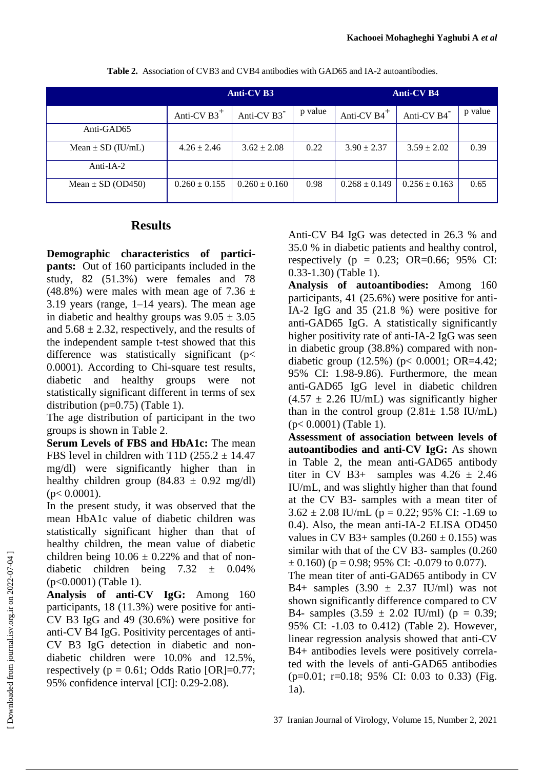|                       | <b>Anti-CV B3</b>         |                   |         | <b>Anti-CV B4</b>         |                   |         |
|-----------------------|---------------------------|-------------------|---------|---------------------------|-------------------|---------|
|                       | Anti-CV $B3$ <sup>+</sup> | Anti-CV B3        | p value | Anti-CV $B4$ <sup>+</sup> | Anti-CV B4        | p value |
| Anti-GAD65            |                           |                   |         |                           |                   |         |
| Mean $\pm$ SD (IU/mL) | $4.26 \pm 2.46$           | $3.62 \pm 2.08$   | 0.22    | $3.90 \pm 2.37$           | $3.59 \pm 2.02$   | 0.39    |
| Anti- $IA-2$          |                           |                   |         |                           |                   |         |
| Mean $\pm$ SD (OD450) | $0.260 \pm 0.155$         | $0.260 \pm 0.160$ | 0.98    | $0.268 \pm 0.149$         | $0.256 \pm 0.163$ | 0.65    |

**Table 2.** Association of CVB3 and CVB4 antibodies with GAD65 and IA-2 autoantibodies.

## **Results**

**Demographic characteristics of participants:** Out of 160 participants included in the study, 82 (51.3%) were females and 78 (48.8%) were males with mean age of 7.36  $\pm$ 3.19 years (range, 1–14 years). The mean age in diabetic and healthy groups was  $9.05 \pm 3.05$ and  $5.68 \pm 2.32$ , respectively, and the results of the independent sample t-test showed that this difference was statistically significant (p< 0.0001). According to Chi-square test results, diabetic and healthy groups were not statistically significant different in terms of sex distribution  $(p=0.75)$  (Table 1).

The age distribution of participant in the two groups is shown in Table 2.

**Serum Levels of FBS and HbA1c:** The mean FBS level in children with T1D  $(255.2 \pm 14.47)$ mg/dl) were significantly higher than in healthy children group  $(84.83 \pm 0.92 \text{ mg/dl})$  $(p< 0.0001)$ .

In the present study, it was observed that the mean HbA1c value of diabetic children was statistically significant higher than that of healthy children, the mean value of diabetic children being  $10.06 \pm 0.22\%$  and that of nondiabetic children being 7.32 ± 0.04% (p<0.0001) (Table 1).

**Analysis of anti-CV IgG:** Among 160 participants, 18 (11.3%) were positive for anti-CV B3 IgG and 49 (30.6%) were positive for anti-CV B4 IgG. Positivity percentages of anti-CV B3 IgG detection in diabetic and nondiabetic children were 10.0% and 12.5%, respectively ( $p = 0.61$ ; Odds Ratio [OR]=0.77; 95% confidence interval [CI]: 0.29-2.08).

Anti-CV B4 IgG was detected in 26.3 % and 35.0 % in diabetic patients and healthy control, respectively ( $p = 0.23$ ; OR=0.66; 95% CI: 0.33-1.30) (Table 1).

**Analysis of autoantibodies:** Among 160 participants, 41 (25.6%) were positive for anti-IA-2 IgG and 35 (21.8 %) were positive for anti-GAD65 IgG. A statistically significantly higher positivity rate of anti-IA-2 IgG was seen in diabetic group (38.8%) compared with nondiabetic group (12.5%) (p< 0.0001; OR=4.42; 95% CI: 1.98-9.86). Furthermore, the mean anti-GAD65 IgG level in diabetic children  $(4.57 \pm 2.26 \text{ IU/mL})$  was significantly higher than in the control group  $(2.81 \pm 1.58 \text{ IU/mL})$ (p< 0.0001) (Table 1).

**Assessment of association between levels of autoantibodies and anti-CV IgG:** As shown in Table 2, the mean anti-GAD65 antibody titer in CV B3+ samples was  $4.26 \pm 2.46$ IU/mL, and was slightly higher than that found at the CV B3- samples with a mean titer of  $3.62 \pm 2.08$  IU/mL (p = 0.22; 95% CI: -1.69 to 0.4). Also, the mean anti-IA-2 ELISA OD450 values in CV B3+ samples  $(0.260 \pm 0.155)$  was similar with that of the CV B3- samples (0.260  $\pm$  0.160) (p = 0.98; 95% CI: -0.079 to 0.077). The mean titer of anti-GAD65 antibody in CV B4+ samples  $(3.90 \pm 2.37 \text{ IU/ml})$  was not shown significantly difference compared to CV B4- samples  $(3.59 \pm 2.02 \text{ IU/ml})$  (p = 0.39; 95% CI: -1.03 to 0.412) (Table 2). However, linear regression analysis showed that anti-CV B4+ antibodies levels were positively correlated with the levels of anti-GAD65 antibodies  $(p=0.01; r=0.18; 95\% \text{ CI: } 0.03 \text{ to } 0.33) \text{ (Fig. }$ 1a).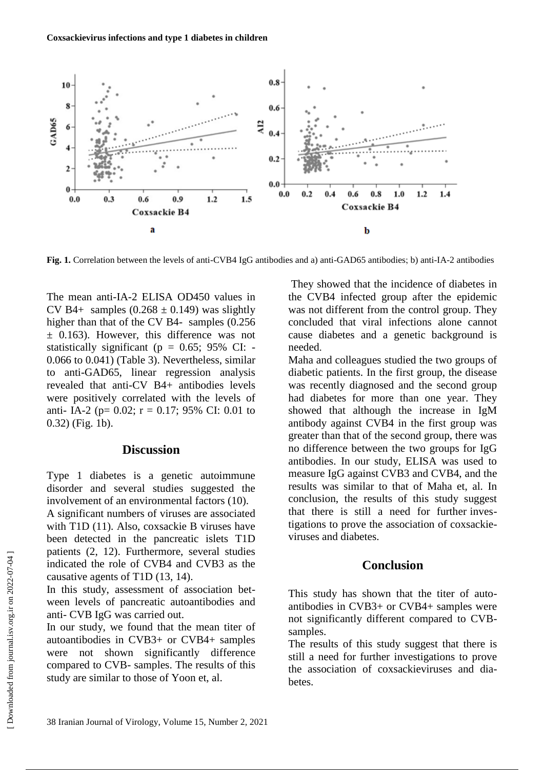

**Fig. 1.** Correlation between the levels of anti-CVB4 IgG antibodies and a) anti-GAD65 antibodies; b) anti-IA-2 antibodies

The mean anti-IA-2 ELISA OD450 values in CV B4+ samples  $(0.268 \pm 0.149)$  was slightly higher than that of the CV B4- samples (0.256  $\pm$  0.163). However, this difference was not statistically significant ( $p = 0.65$ ; 95% CI: -0.066 to 0.041) (Table 3). Nevertheless, similar to anti-GAD65, linear regression analysis revealed that anti-CV B4+ antibodies levels were positively correlated with the levels of anti- IA-2 (p= 0.02;  $r = 0.17$ ; 95% CI: 0.01 to 0.32) (Fig. 1b).

#### **Discussion**

Type 1 diabetes is a genetic autoimmune disorder and several studies suggested the involvement of an environmental factors (10).

A significant numbers of viruses are associated with T1D (11). Also, coxsackie B viruses have been detected in the pancreatic islets T1D patients (2, 12). Furthermore, several studies indicated the role of CVB4 and CVB3 as the causative agents of T1D (13, 14).

In this study, assessment of association between levels of pancreatic autoantibodies and anti- CVB IgG was carried out.

In our study, we found that the mean titer of autoantibodies in CVB3+ or CVB4+ samples were not shown significantly difference compared to CVB- samples. The results of this study are similar to those of Yoon et, al.

They showed that the incidence of diabetes in the CVB4 infected group after the epidemic was not different from the control group. They concluded that viral infections alone cannot cause diabetes and a genetic background is needed.

Maha and colleagues studied the two groups of diabetic patients. In the first group, the disease was recently diagnosed and the second group had diabetes for more than one year. They showed that although the increase in IgM antibody against CVB4 in the first group was greater than that of the second group, there was no difference between the two groups for IgG antibodies. In our study, ELISA was used to measure IgG against CVB3 and CVB4, and the results was similar to that of Maha et, al. In conclusion, the results of this study suggest that there is still a need for further investigations to prove the association of coxsackieviruses and diabetes.

## **Conclusion**

This study has shown that the titer of autoantibodies in CVB3+ or CVB4+ samples were not significantly different compared to CVBsamples.

The results of this study suggest that there is still a need for further investigations to prove the association of coxsackieviruses and diabetes.